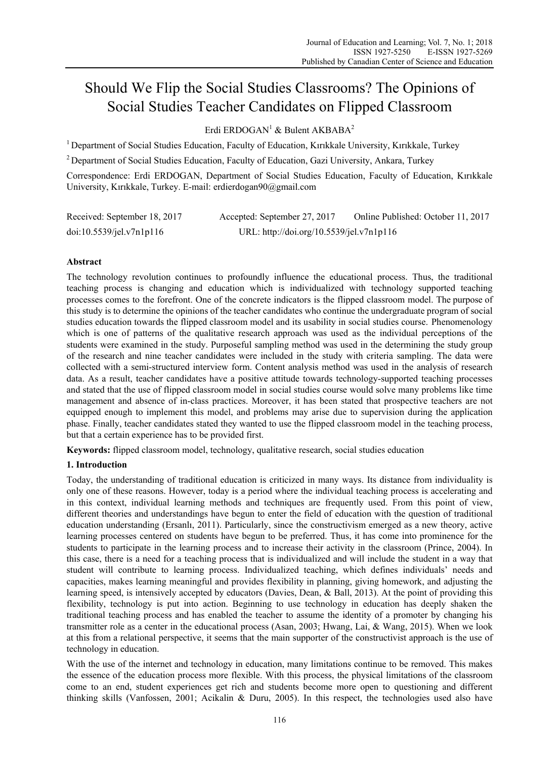# Should We Flip the Social Studies Classrooms? The Opinions of Social Studies Teacher Candidates on Flipped Classroom

Erdi ERDOGAN<sup>1</sup> & Bulent AKBABA<sup>2</sup>

<sup>1</sup> Department of Social Studies Education, Faculty of Education, Kırıkkale University, Kırıkkale, Turkey

2 Department of Social Studies Education, Faculty of Education, Gazi University, Ankara, Turkey

Correspondence: Erdi ERDOGAN, Department of Social Studies Education, Faculty of Education, Kırıkkale University, Kırıkkale, Turkey. E-mail: erdierdogan90@gmail.com

| Received: September 18, 2017 | Accepted: September 27, 2017             | Online Published: October 11, 2017 |
|------------------------------|------------------------------------------|------------------------------------|
| doi:10.5539/jel.v7n1p116     | URL: http://doi.org/10.5539/jel.v7n1p116 |                                    |

# **Abstract**

The technology revolution continues to profoundly influence the educational process. Thus, the traditional teaching process is changing and education which is individualized with technology supported teaching processes comes to the forefront. One of the concrete indicators is the flipped classroom model. The purpose of this study is to determine the opinions of the teacher candidates who continue the undergraduate program of social studies education towards the flipped classroom model and its usability in social studies course. Phenomenology which is one of patterns of the qualitative research approach was used as the individual perceptions of the students were examined in the study. Purposeful sampling method was used in the determining the study group of the research and nine teacher candidates were included in the study with criteria sampling. The data were collected with a semi-structured interview form. Content analysis method was used in the analysis of research data. As a result, teacher candidates have a positive attitude towards technology-supported teaching processes and stated that the use of flipped classroom model in social studies course would solve many problems like time management and absence of in-class practices. Moreover, it has been stated that prospective teachers are not equipped enough to implement this model, and problems may arise due to supervision during the application phase. Finally, teacher candidates stated they wanted to use the flipped classroom model in the teaching process, but that a certain experience has to be provided first.

**Keywords:** flipped classroom model, technology, qualitative research, social studies education

# **1. Introduction**

Today, the understanding of traditional education is criticized in many ways. Its distance from individuality is only one of these reasons. However, today is a period where the individual teaching process is accelerating and in this context, individual learning methods and techniques are frequently used. From this point of view, different theories and understandings have begun to enter the field of education with the question of traditional education understanding (Ersanlı, 2011). Particularly, since the constructivism emerged as a new theory, active learning processes centered on students have begun to be preferred. Thus, it has come into prominence for the students to participate in the learning process and to increase their activity in the classroom (Prince, 2004). In this case, there is a need for a teaching process that is individualized and will include the student in a way that student will contribute to learning process. Individualized teaching, which defines individuals' needs and capacities, makes learning meaningful and provides flexibility in planning, giving homework, and adjusting the learning speed, is intensively accepted by educators (Davies, Dean, & Ball, 2013). At the point of providing this flexibility, technology is put into action. Beginning to use technology in education has deeply shaken the traditional teaching process and has enabled the teacher to assume the identity of a promoter by changing his transmitter role as a center in the educational process (Asan, 2003; Hwang, Lai, & Wang, 2015). When we look at this from a relational perspective, it seems that the main supporter of the constructivist approach is the use of technology in education.

With the use of the internet and technology in education, many limitations continue to be removed. This makes the essence of the education process more flexible. With this process, the physical limitations of the classroom come to an end, student experiences get rich and students become more open to questioning and different thinking skills (Vanfossen, 2001; Acikalin & Duru, 2005). In this respect, the technologies used also have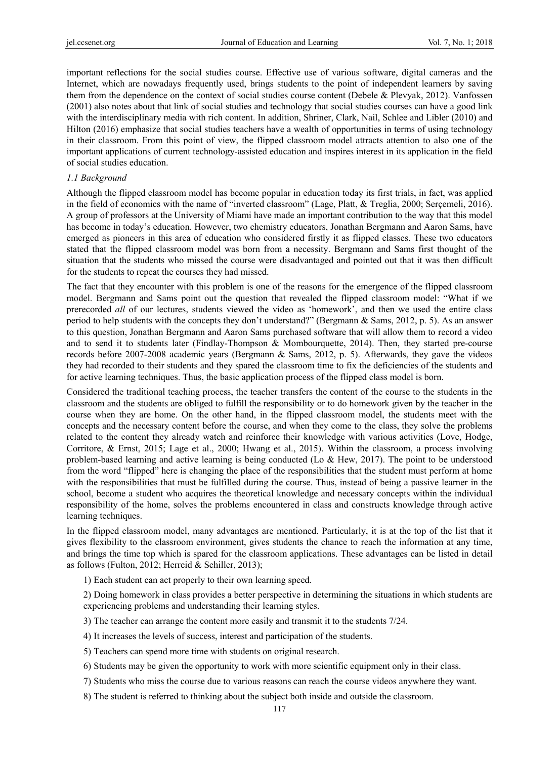important reflections for the social studies course. Effective use of various software, digital cameras and the Internet, which are nowadays frequently used, brings students to the point of independent learners by saving them from the dependence on the context of social studies course content (Debele & Plevyak, 2012). Vanfossen (2001) also notes about that link of social studies and technology that social studies courses can have a good link with the interdisciplinary media with rich content. In addition, Shriner, Clark, Nail, Schlee and Libler (2010) and Hilton (2016) emphasize that social studies teachers have a wealth of opportunities in terms of using technology in their classroom. From this point of view, the flipped classroom model attracts attention to also one of the important applications of current technology-assisted education and inspires interest in its application in the field of social studies education.

#### *1.1 Background*

Although the flipped classroom model has become popular in education today its first trials, in fact, was applied in the field of economics with the name of "inverted classroom" (Lage, Platt, & Treglia, 2000; Serçemeli, 2016). A group of professors at the University of Miami have made an important contribution to the way that this model has become in today's education. However, two chemistry educators, Jonathan Bergmann and Aaron Sams, have emerged as pioneers in this area of education who considered firstly it as flipped classes. These two educators stated that the flipped classroom model was born from a necessity. Bergmann and Sams first thought of the situation that the students who missed the course were disadvantaged and pointed out that it was then difficult for the students to repeat the courses they had missed.

The fact that they encounter with this problem is one of the reasons for the emergence of the flipped classroom model. Bergmann and Sams point out the question that revealed the flipped classroom model: "What if we prerecorded *all* of our lectures, students viewed the video as 'homework', and then we used the entire class period to help students with the concepts they don't understand?" (Bergmann & Sams, 2012, p. 5). As an answer to this question, Jonathan Bergmann and Aaron Sams purchased software that will allow them to record a video and to send it to students later (Findlay-Thompson & Mombourquette, 2014). Then, they started pre-course records before 2007-2008 academic years (Bergmann & Sams, 2012, p. 5). Afterwards, they gave the videos they had recorded to their students and they spared the classroom time to fix the deficiencies of the students and for active learning techniques. Thus, the basic application process of the flipped class model is born.

Considered the traditional teaching process, the teacher transfers the content of the course to the students in the classroom and the students are obliged to fulfill the responsibility or to do homework given by the teacher in the course when they are home. On the other hand, in the flipped classroom model, the students meet with the concepts and the necessary content before the course, and when they come to the class, they solve the problems related to the content they already watch and reinforce their knowledge with various activities (Love, Hodge, Corritore, & Ernst, 2015; Lage et al., 2000; Hwang et al., 2015). Within the classroom, a process involving problem-based learning and active learning is being conducted (Lo  $\&$  Hew, 2017). The point to be understood from the word "flipped" here is changing the place of the responsibilities that the student must perform at home with the responsibilities that must be fulfilled during the course. Thus, instead of being a passive learner in the school, become a student who acquires the theoretical knowledge and necessary concepts within the individual responsibility of the home, solves the problems encountered in class and constructs knowledge through active learning techniques.

In the flipped classroom model, many advantages are mentioned. Particularly, it is at the top of the list that it gives flexibility to the classroom environment, gives students the chance to reach the information at any time, and brings the time top which is spared for the classroom applications. These advantages can be listed in detail as follows (Fulton, 2012; Herreid & Schiller, 2013);

1) Each student can act properly to their own learning speed.

2) Doing homework in class provides a better perspective in determining the situations in which students are experiencing problems and understanding their learning styles.

3) The teacher can arrange the content more easily and transmit it to the students 7/24.

4) It increases the levels of success, interest and participation of the students.

5) Teachers can spend more time with students on original research.

6) Students may be given the opportunity to work with more scientific equipment only in their class.

- 7) Students who miss the course due to various reasons can reach the course videos anywhere they want.
- 8) The student is referred to thinking about the subject both inside and outside the classroom.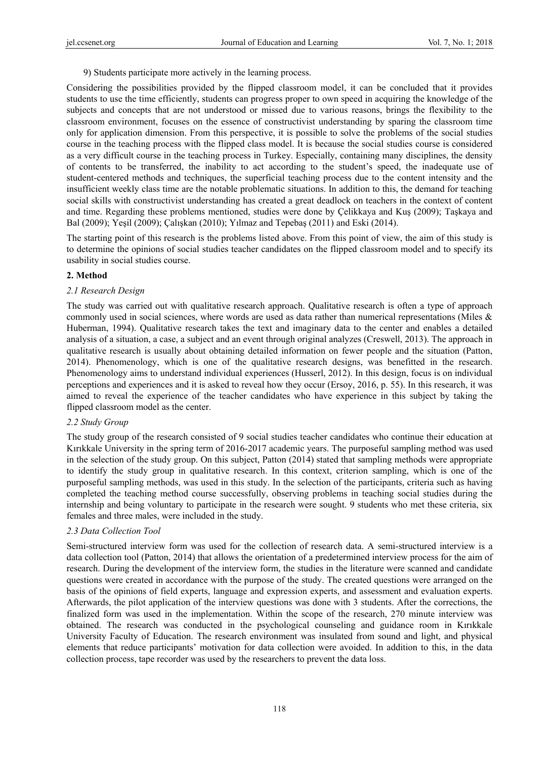9) Students participate more actively in the learning process.

Considering the possibilities provided by the flipped classroom model, it can be concluded that it provides students to use the time efficiently, students can progress proper to own speed in acquiring the knowledge of the subjects and concepts that are not understood or missed due to various reasons, brings the flexibility to the classroom environment, focuses on the essence of constructivist understanding by sparing the classroom time only for application dimension. From this perspective, it is possible to solve the problems of the social studies course in the teaching process with the flipped class model. It is because the social studies course is considered as a very difficult course in the teaching process in Turkey. Especially, containing many disciplines, the density of contents to be transferred, the inability to act according to the student's speed, the inadequate use of student-centered methods and techniques, the superficial teaching process due to the content intensity and the insufficient weekly class time are the notable problematic situations. In addition to this, the demand for teaching social skills with constructivist understanding has created a great deadlock on teachers in the context of content and time. Regarding these problems mentioned, studies were done by Çelikkaya and Kuş (2009); Taşkaya and Bal (2009); Yeşil (2009); Çalışkan (2010); Yılmaz and Tepebaş (2011) and Eski (2014).

The starting point of this research is the problems listed above. From this point of view, the aim of this study is to determine the opinions of social studies teacher candidates on the flipped classroom model and to specify its usability in social studies course.

## **2. Method**

## *2.1 Research Design*

The study was carried out with qualitative research approach. Qualitative research is often a type of approach commonly used in social sciences, where words are used as data rather than numerical representations (Miles & Huberman, 1994). Qualitative research takes the text and imaginary data to the center and enables a detailed analysis of a situation, a case, a subject and an event through original analyzes (Creswell, 2013). The approach in qualitative research is usually about obtaining detailed information on fewer people and the situation (Patton, 2014). Phenomenology, which is one of the qualitative research designs, was benefitted in the research. Phenomenology aims to understand individual experiences (Husserl, 2012). In this design, focus is on individual perceptions and experiences and it is asked to reveal how they occur (Ersoy, 2016, p. 55). In this research, it was aimed to reveal the experience of the teacher candidates who have experience in this subject by taking the flipped classroom model as the center.

# *2.2 Study Group*

The study group of the research consisted of 9 social studies teacher candidates who continue their education at Kırıkkale University in the spring term of 2016-2017 academic years. The purposeful sampling method was used in the selection of the study group. On this subject, Patton (2014) stated that sampling methods were appropriate to identify the study group in qualitative research. In this context, criterion sampling, which is one of the purposeful sampling methods, was used in this study. In the selection of the participants, criteria such as having completed the teaching method course successfully, observing problems in teaching social studies during the internship and being voluntary to participate in the research were sought. 9 students who met these criteria, six females and three males, were included in the study.

# *2.3 Data Collection Tool*

Semi-structured interview form was used for the collection of research data. A semi-structured interview is a data collection tool (Patton, 2014) that allows the orientation of a predetermined interview process for the aim of research. During the development of the interview form, the studies in the literature were scanned and candidate questions were created in accordance with the purpose of the study. The created questions were arranged on the basis of the opinions of field experts, language and expression experts, and assessment and evaluation experts. Afterwards, the pilot application of the interview questions was done with 3 students. After the corrections, the finalized form was used in the implementation. Within the scope of the research, 270 minute interview was obtained. The research was conducted in the psychological counseling and guidance room in Kırıkkale University Faculty of Education. The research environment was insulated from sound and light, and physical elements that reduce participants' motivation for data collection were avoided. In addition to this, in the data collection process, tape recorder was used by the researchers to prevent the data loss.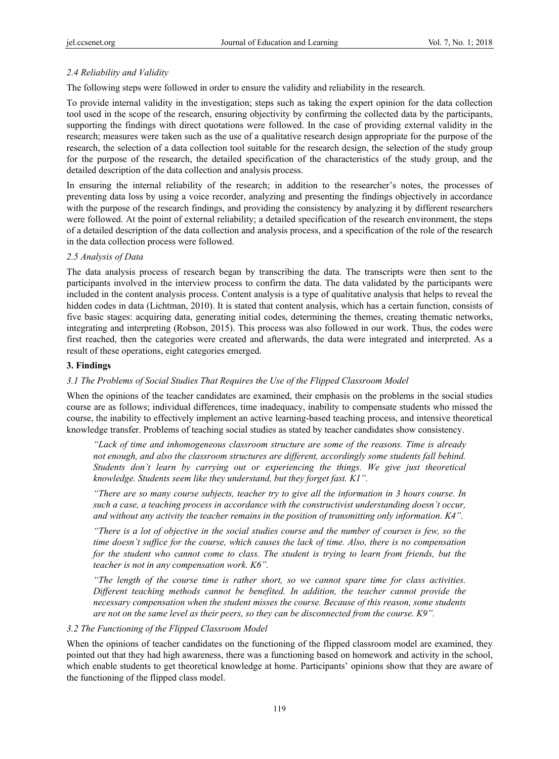# *2.4 Reliability and Validity*

The following steps were followed in order to ensure the validity and reliability in the research.

To provide internal validity in the investigation; steps such as taking the expert opinion for the data collection tool used in the scope of the research, ensuring objectivity by confirming the collected data by the participants, supporting the findings with direct quotations were followed. In the case of providing external validity in the research; measures were taken such as the use of a qualitative research design appropriate for the purpose of the research, the selection of a data collection tool suitable for the research design, the selection of the study group for the purpose of the research, the detailed specification of the characteristics of the study group, and the detailed description of the data collection and analysis process.

In ensuring the internal reliability of the research; in addition to the researcher's notes, the processes of preventing data loss by using a voice recorder, analyzing and presenting the findings objectively in accordance with the purpose of the research findings, and providing the consistency by analyzing it by different researchers were followed. At the point of external reliability; a detailed specification of the research environment, the steps of a detailed description of the data collection and analysis process, and a specification of the role of the research in the data collection process were followed.

## *2.5 Analysis of Data*

The data analysis process of research began by transcribing the data. The transcripts were then sent to the participants involved in the interview process to confirm the data. The data validated by the participants were included in the content analysis process. Content analysis is a type of qualitative analysis that helps to reveal the hidden codes in data (Lichtman, 2010). It is stated that content analysis, which has a certain function, consists of five basic stages: acquiring data, generating initial codes, determining the themes, creating thematic networks, integrating and interpreting (Robson, 2015). This process was also followed in our work. Thus, the codes were first reached, then the categories were created and afterwards, the data were integrated and interpreted. As a result of these operations, eight categories emerged.

## **3. Findings**

## *3.1 The Problems of Social Studies That Requires the Use of the Flipped Classroom Model*

When the opinions of the teacher candidates are examined, their emphasis on the problems in the social studies course are as follows; individual differences, time inadequacy, inability to compensate students who missed the course, the inability to effectively implement an active learning-based teaching process, and intensive theoretical knowledge transfer. Problems of teaching social studies as stated by teacher candidates show consistency.

*"Lack of time and inhomogeneous classroom structure are some of the reasons. Time is already not enough, and also the classroom structures are different, accordingly some students fall behind. Students don't learn by carrying out or experiencing the things. We give just theoretical knowledge. Students seem like they understand, but they forget fast. K1".* 

*"There are so many course subjects, teacher try to give all the information in 3 hours course. In such a case, a teaching process in accordance with the constructivist understanding doesn't occur, and without any activity the teacher remains in the position of transmitting only information. K4".* 

*"There is a lot of objective in the social studies course and the number of courses is few, so the time doesn't suffice for the course, which causes the lack of time. Also, there is no compensation for the student who cannot come to class. The student is trying to learn from friends, but the teacher is not in any compensation work. K6".* 

*"The length of the course time is rather short, so we cannot spare time for class activities. Different teaching methods cannot be benefited. In addition, the teacher cannot provide the necessary compensation when the student misses the course. Because of this reason, some students are not on the same level as their peers, so they can be disconnected from the course. K9".* 

*3.2 The Functioning of the Flipped Classroom Model* 

When the opinions of teacher candidates on the functioning of the flipped classroom model are examined, they pointed out that they had high awareness, there was a functioning based on homework and activity in the school, which enable students to get theoretical knowledge at home. Participants' opinions show that they are aware of the functioning of the flipped class model.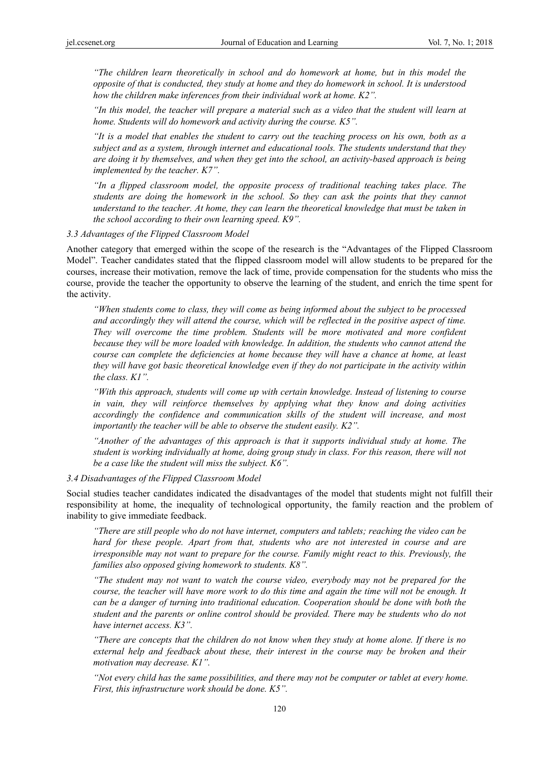*"The children learn theoretically in school and do homework at home, but in this model the opposite of that is conducted, they study at home and they do homework in school. It is understood how the children make inferences from their individual work at home. K2".* 

*"In this model, the teacher will prepare a material such as a video that the student will learn at home. Students will do homework and activity during the course. K5".* 

*"It is a model that enables the student to carry out the teaching process on his own, both as a subject and as a system, through internet and educational tools. The students understand that they are doing it by themselves, and when they get into the school, an activity-based approach is being implemented by the teacher. K7".* 

*"In a flipped classroom model, the opposite process of traditional teaching takes place. The students are doing the homework in the school. So they can ask the points that they cannot understand to the teacher. At home, they can learn the theoretical knowledge that must be taken in the school according to their own learning speed. K9".* 

#### *3.3 Advantages of the Flipped Classroom Model*

Another category that emerged within the scope of the research is the "Advantages of the Flipped Classroom Model". Teacher candidates stated that the flipped classroom model will allow students to be prepared for the courses, increase their motivation, remove the lack of time, provide compensation for the students who miss the course, provide the teacher the opportunity to observe the learning of the student, and enrich the time spent for the activity.

*"When students come to class, they will come as being informed about the subject to be processed and accordingly they will attend the course, which will be reflected in the positive aspect of time. They will overcome the time problem. Students will be more motivated and more confident because they will be more loaded with knowledge. In addition, the students who cannot attend the course can complete the deficiencies at home because they will have a chance at home, at least they will have got basic theoretical knowledge even if they do not participate in the activity within the class. K1".* 

*"With this approach, students will come up with certain knowledge. Instead of listening to course in vain, they will reinforce themselves by applying what they know and doing activities accordingly the confidence and communication skills of the student will increase, and most importantly the teacher will be able to observe the student easily. K2".* 

*"Another of the advantages of this approach is that it supports individual study at home. The student is working individually at home, doing group study in class. For this reason, there will not be a case like the student will miss the subject. K6".* 

# *3.4 Disadvantages of the Flipped Classroom Model*

Social studies teacher candidates indicated the disadvantages of the model that students might not fulfill their responsibility at home, the inequality of technological opportunity, the family reaction and the problem of inability to give immediate feedback.

*"There are still people who do not have internet, computers and tablets; reaching the video can be hard for these people. Apart from that, students who are not interested in course and are irresponsible may not want to prepare for the course. Family might react to this. Previously, the families also opposed giving homework to students. K8".* 

*"The student may not want to watch the course video, everybody may not be prepared for the course, the teacher will have more work to do this time and again the time will not be enough. It can be a danger of turning into traditional education. Cooperation should be done with both the student and the parents or online control should be provided. There may be students who do not have internet access. K3".* 

*"There are concepts that the children do not know when they study at home alone. If there is no external help and feedback about these, their interest in the course may be broken and their motivation may decrease. K1".* 

*"Not every child has the same possibilities, and there may not be computer or tablet at every home. First, this infrastructure work should be done. K5".*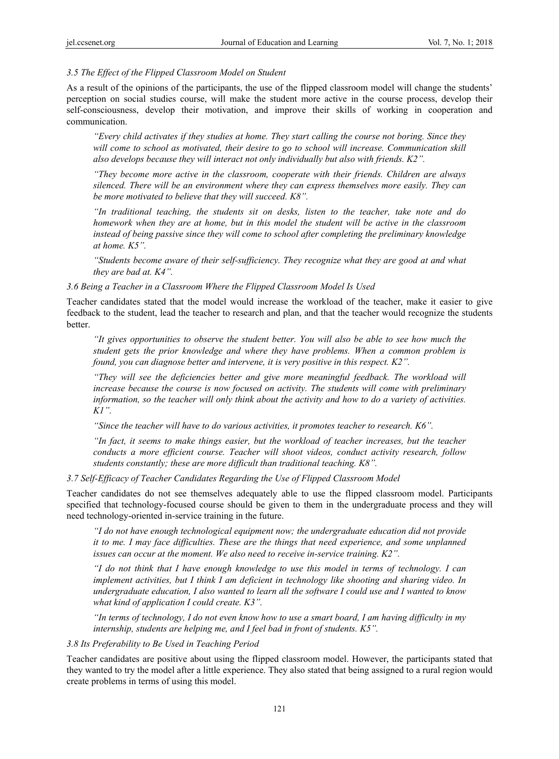## *3.5 The Effect of the Flipped Classroom Model on Student*

As a result of the opinions of the participants, the use of the flipped classroom model will change the students' perception on social studies course, will make the student more active in the course process, develop their self-consciousness, develop their motivation, and improve their skills of working in cooperation and communication.

*"Every child activates if they studies at home. They start calling the course not boring. Since they will come to school as motivated, their desire to go to school will increase. Communication skill also develops because they will interact not only individually but also with friends. K2".* 

*"They become more active in the classroom, cooperate with their friends. Children are always silenced. There will be an environment where they can express themselves more easily. They can be more motivated to believe that they will succeed. K8".* 

*"In traditional teaching, the students sit on desks, listen to the teacher, take note and do homework when they are at home, but in this model the student will be active in the classroom instead of being passive since they will come to school after completing the preliminary knowledge at home. K5".* 

*"Students become aware of their self-sufficiency. They recognize what they are good at and what they are bad at. K4".* 

## *3.6 Being a Teacher in a Classroom Where the Flipped Classroom Model Is Used*

Teacher candidates stated that the model would increase the workload of the teacher, make it easier to give feedback to the student, lead the teacher to research and plan, and that the teacher would recognize the students better.

*"It gives opportunities to observe the student better. You will also be able to see how much the student gets the prior knowledge and where they have problems. When a common problem is found, you can diagnose better and intervene, it is very positive in this respect. K2".* 

*They will see the deficiencies better and give more meaningful feedback. The workload will increase because the course is now focused on activity. The students will come with preliminary information, so the teacher will only think about the activity and how to do a variety of activities. K1".* 

*"Since the teacher will have to do various activities, it promotes teacher to research. K6".* 

*"In fact, it seems to make things easier, but the workload of teacher increases, but the teacher conducts a more efficient course. Teacher will shoot videos, conduct activity research, follow students constantly; these are more difficult than traditional teaching. K8".*

## *3.7 Self-Efficacy of Teacher Candidates Regarding the Use of Flipped Classroom Model*

Teacher candidates do not see themselves adequately able to use the flipped classroom model. Participants specified that technology-focused course should be given to them in the undergraduate process and they will need technology-oriented in-service training in the future.

*"I do not have enough technological equipment now; the undergraduate education did not provide it to me. I may face difficulties. These are the things that need experience, and some unplanned issues can occur at the moment. We also need to receive in-service training. K2".* 

*"I do not think that I have enough knowledge to use this model in terms of technology. I can implement activities, but I think I am deficient in technology like shooting and sharing video. In undergraduate education, I also wanted to learn all the software I could use and I wanted to know what kind of application I could create. K3".* 

*"In terms of technology, I do not even know how to use a smart board, I am having difficulty in my internship, students are helping me, and I feel bad in front of students. K5".* 

## *3.8 Its Preferability to Be Used in Teaching Period*

Teacher candidates are positive about using the flipped classroom model. However, the participants stated that they wanted to try the model after a little experience. They also stated that being assigned to a rural region would create problems in terms of using this model.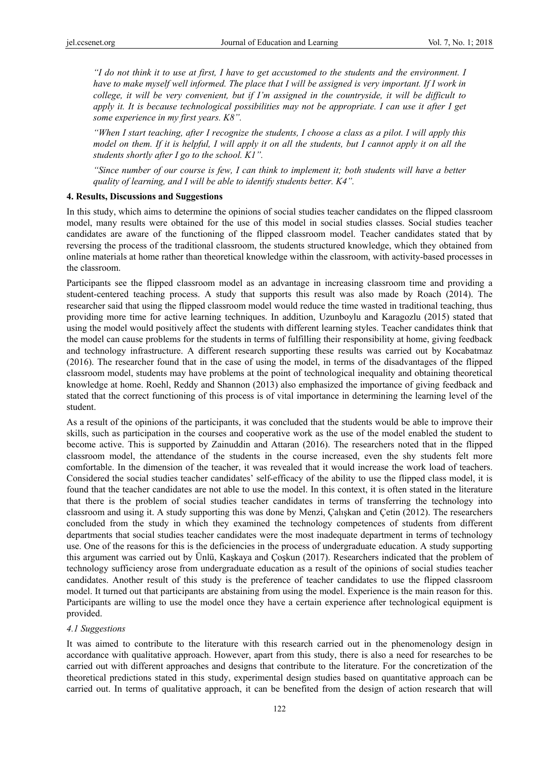*"I do not think it to use at first, I have to get accustomed to the students and the environment. I have to make myself well informed. The place that I will be assigned is very important. If I work in college, it will be very convenient, but if I'm assigned in the countryside, it will be difficult to apply it. It is because technological possibilities may not be appropriate. I can use it after I get some experience in my first years. K8".* 

*"When I start teaching, after I recognize the students, I choose a class as a pilot. I will apply this model on them. If it is helpful, I will apply it on all the students, but I cannot apply it on all the students shortly after I go to the school. K1".* 

*"Since number of our course is few, I can think to implement it; both students will have a better quality of learning, and I will be able to identify students better. K4".* 

#### **4. Results, Discussions and Suggestions**

In this study, which aims to determine the opinions of social studies teacher candidates on the flipped classroom model, many results were obtained for the use of this model in social studies classes. Social studies teacher candidates are aware of the functioning of the flipped classroom model. Teacher candidates stated that by reversing the process of the traditional classroom, the students structured knowledge, which they obtained from online materials at home rather than theoretical knowledge within the classroom, with activity-based processes in the classroom.

Participants see the flipped classroom model as an advantage in increasing classroom time and providing a student-centered teaching process. A study that supports this result was also made by Roach (2014). The researcher said that using the flipped classroom model would reduce the time wasted in traditional teaching, thus providing more time for active learning techniques. In addition, Uzunboylu and Karagozlu (2015) stated that using the model would positively affect the students with different learning styles. Teacher candidates think that the model can cause problems for the students in terms of fulfilling their responsibility at home, giving feedback and technology infrastructure. A different research supporting these results was carried out by Kocabatmaz (2016). The researcher found that in the case of using the model, in terms of the disadvantages of the flipped classroom model, students may have problems at the point of technological inequality and obtaining theoretical knowledge at home. Roehl, Reddy and Shannon (2013) also emphasized the importance of giving feedback and stated that the correct functioning of this process is of vital importance in determining the learning level of the student.

As a result of the opinions of the participants, it was concluded that the students would be able to improve their skills, such as participation in the courses and cooperative work as the use of the model enabled the student to become active. This is supported by Zainuddin and Attaran (2016). The researchers noted that in the flipped classroom model, the attendance of the students in the course increased, even the shy students felt more comfortable. In the dimension of the teacher, it was revealed that it would increase the work load of teachers. Considered the social studies teacher candidates' self-efficacy of the ability to use the flipped class model, it is found that the teacher candidates are not able to use the model. In this context, it is often stated in the literature that there is the problem of social studies teacher candidates in terms of transferring the technology into classroom and using it. A study supporting this was done by Menzi, Çalışkan and Çetin (2012). The researchers concluded from the study in which they examined the technology competences of students from different departments that social studies teacher candidates were the most inadequate department in terms of technology use. One of the reasons for this is the deficiencies in the process of undergraduate education. A study supporting this argument was carried out by Ünlü, Kaşkaya and Çoşkun (2017). Researchers indicated that the problem of technology sufficiency arose from undergraduate education as a result of the opinions of social studies teacher candidates. Another result of this study is the preference of teacher candidates to use the flipped classroom model. It turned out that participants are abstaining from using the model. Experience is the main reason for this. Participants are willing to use the model once they have a certain experience after technological equipment is provided.

## *4.1 Suggestions*

It was aimed to contribute to the literature with this research carried out in the phenomenology design in accordance with qualitative approach. However, apart from this study, there is also a need for researches to be carried out with different approaches and designs that contribute to the literature. For the concretization of the theoretical predictions stated in this study, experimental design studies based on quantitative approach can be carried out. In terms of qualitative approach, it can be benefited from the design of action research that will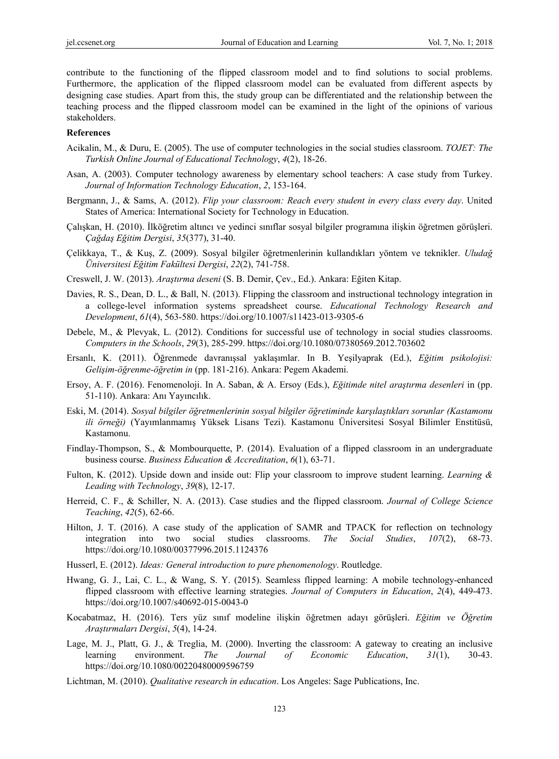contribute to the functioning of the flipped classroom model and to find solutions to social problems. Furthermore, the application of the flipped classroom model can be evaluated from different aspects by designing case studies. Apart from this, the study group can be differentiated and the relationship between the teaching process and the flipped classroom model can be examined in the light of the opinions of various stakeholders.

## **References**

- Acikalin, M., & Duru, E. (2005). The use of computer technologies in the social studies classroom. *TOJET: The Turkish Online Journal of Educational Technology*, *4*(2), 18-26.
- Asan, A. (2003). Computer technology awareness by elementary school teachers: A case study from Turkey. *Journal of Information Technology Education*, *2*, 153-164.
- Bergmann, J., & Sams, A. (2012). *Flip your classroom: Reach every student in every class every day*. United States of America: International Society for Technology in Education.
- Çalışkan, H. (2010). İlköğretim altıncı ve yedinci sınıflar sosyal bilgiler programına ilişkin öğretmen görüşleri. *Çağdaş Eğitim Dergisi*, *35*(377), 31-40.
- Çelikkaya, T., & Kuş, Z. (2009). Sosyal bilgiler öğretmenlerinin kullandıkları yöntem ve teknikler. *Uludağ Üniversitesi Eğitim Fakültesi Dergisi*, *22*(2), 741-758.
- Creswell, J. W. (2013). *Araştırma deseni* (S. B. Demir, Çev., Ed.). Ankara: Eğiten Kitap.
- Davies, R. S., Dean, D. L., & Ball, N. (2013). Flipping the classroom and instructional technology integration in a college-level information systems spreadsheet course. *Educational Technology Research and Development*, *61*(4), 563-580. https://doi.org/10.1007/s11423-013-9305-6
- Debele, M., & Plevyak, L. (2012). Conditions for successful use of technology in social studies classrooms. *Computers in the Schools*, *29*(3), 285-299. https://doi.org/10.1080/07380569.2012.703602
- Ersanlı, K. (2011). Öğrenmede davranışsal yaklaşımlar. In B. Yeşilyaprak (Ed.), *Eğitim psikolojisi: Gelişim-öğrenme-öğretim in* (pp. 181-216). Ankara: Pegem Akademi.
- Ersoy, A. F. (2016). Fenomenoloji. In A. Saban, & A. Ersoy (Eds.), *Eğitimde nitel araştırma desenleri* in (pp. 51-110). Ankara: Anı Yayıncılık.
- Eski, M. (2014). *Sosyal bilgiler öğretmenlerinin sosyal bilgiler öğretiminde karşılaştıkları sorunlar (Kastamonu ili örneği)* (Yayımlanmamış Yüksek Lisans Tezi). Kastamonu Üniversitesi Sosyal Bilimler Enstitüsü, Kastamonu.
- Findlay-Thompson, S., & Mombourquette, P. (2014). Evaluation of a flipped classroom in an undergraduate business course. *Business Education & Accreditation*, *6*(1), 63-71.
- Fulton, K. (2012). Upside down and inside out: Flip your classroom to improve student learning. *Learning & Leading with Technology*, *39*(8), 12-17.
- Herreid, C. F., & Schiller, N. A. (2013). Case studies and the flipped classroom. *Journal of College Science Teaching*, *42*(5), 62-66.
- Hilton, J. T. (2016). A case study of the application of SAMR and TPACK for reflection on technology integration into two social studies classrooms. *The Social Studies*, *107*(2), 68-73. https://doi.org/10.1080/00377996.2015.1124376
- Husserl, E. (2012). *Ideas: General introduction to pure phenomenology*. Routledge.
- Hwang, G. J., Lai, C. L., & Wang, S. Y. (2015). Seamless flipped learning: A mobile technology-enhanced flipped classroom with effective learning strategies. *Journal of Computers in Education*, *2*(4), 449-473. https://doi.org/10.1007/s40692-015-0043-0
- Kocabatmaz, H. (2016). Ters yüz sınıf modeline ilişkin öğretmen adayı görüşleri. *Eğitim ve Öğretim Araştırmaları Dergisi*, *5*(4), 14-24.
- Lage, M. J., Platt, G. J., & Treglia, M. (2000). Inverting the classroom: A gateway to creating an inclusive learning environment. *The Journal of Economic Education*, *31*(1), 30-43. https://doi.org/10.1080/00220480009596759
- Lichtman, M. (2010). *Qualitative research in education*. Los Angeles: Sage Publications, Inc.